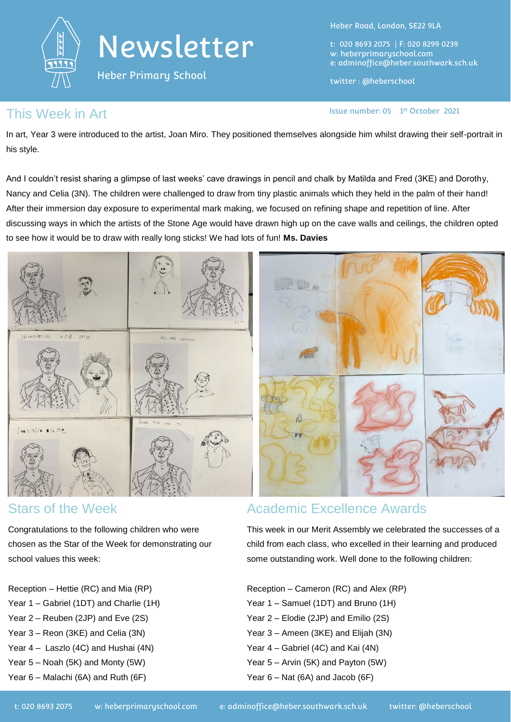

Heber Primary School

Heber Road, London, SE22 9LA

t: 020 8693 2075 | F: 020 8299 0239 w: heberprimaryschool.com e: [adminoffice@heber.southwark.sch.uk](mailto:adminoffice@heber.southwark.sch.uk)

twitter : @heberschool

Issue number: 05 1st October 2021

### This Week in Art **Interpretate Container**  $\frac{1}{2}$  and  $\frac{1}{2}$  issue number: 05 1

In art, Year 3 were introduced to the artist, Joan Miro. They positioned themselves alongside him whilst drawing their self-portrait in his style.

And I couldn't resist sharing a glimpse of last weeks' cave drawings in pencil and chalk by Matilda and Fred (3KE) and Dorothy, Nancy and Celia (3N). The children were challenged to draw from tiny plastic animals which they held in the palm of their hand! After their immersion day exposure to experimental mark making, we focused on refining shape and repetition of line. After discussing ways in which the artists of the Stone Age would have drawn high up on the cave walls and ceilings, the children opted to see how it would be to draw with really long sticks! We had lots of fun! **Ms. Davies**



### Stars of the Week

Congratulations to the following children who were chosen as the Star of the Week for demonstrating our school values this week:

Reception – Hettie (RC) and Mia (RP) Year 1 – Gabriel (1DT) and Charlie (1H) Year 2 – Reuben (2JP) and Eve (2S) Year 3 – Reon (3KE) and Celia (3N) Year 4 – Laszlo (4C) and Hushai (4N) Year 5 – Noah (5K) and Monty (5W) Year 6 – Malachi (6A) and Ruth (6F)

## Academic Excellence Awards

This week in our Merit Assembly we celebrated the successes of a child from each class, who excelled in their learning and produced some outstanding work. Well done to the following children:

Reception – Cameron (RC) and Alex (RP) Year 1 – Samuel (1DT) and Bruno (1H) Year 2 – Elodie (2JP) and Emilio (2S) Year 3 – Ameen (3KE) and Elijah (3N) Year 4 – Gabriel (4C) and Kai (4N) Year 5 – Arvin (5K) and Payton (5W)

Year 6 – Nat (6A) and Jacob (6F)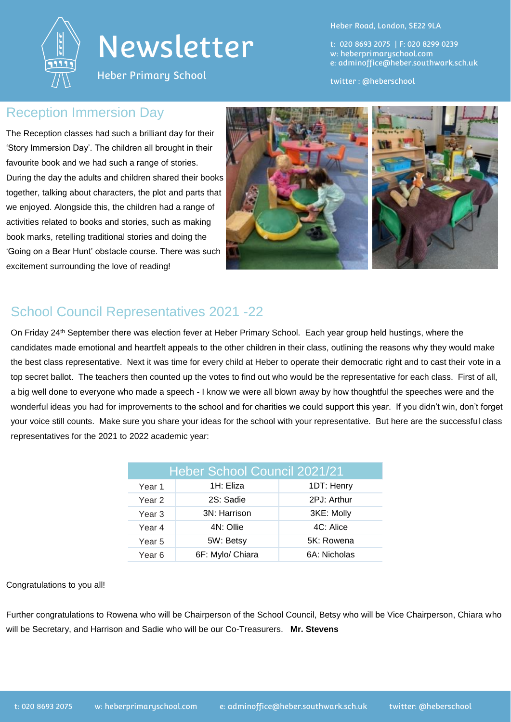

Heber Primary School

Heber Road, London, SE22 9LA

t: 020 8693 2075 | F: 020 8299 0239 w: heberprimaryschool.com e: [adminoffice@heber.southwark.sch.uk](mailto:adminoffice@heber.southwark.sch.uk)

twitter : @heberschool

### Reception Immersion Day

The Reception classes had such a brilliant day for their 'Story Immersion Day'. The children all brought in their favourite book and we had such a range of stories. During the day the adults and children shared their books together, talking about characters, the plot and parts that we enjoyed. Alongside this, the children had a range of activities related to books and stories, such as making book marks, retelling traditional stories and doing the 'Going on a Bear Hunt' obstacle course. There was such excitement surrounding the love of reading!



## School Council Representatives 2021 -22

On Friday 24<sup>th</sup> September there was election fever at Heber Primary School. Each year group held hustings, where the candidates made emotional and heartfelt appeals to the other children in their class, outlining the reasons why they would make the best class representative. Next it was time for every child at Heber to operate their democratic right and to cast their vote in a top secret ballot. The teachers then counted up the votes to find out who would be the representative for each class. First of all, a big well done to everyone who made a speech - I know we were all blown away by how thoughtful the speeches were and the wonderful ideas you had for improvements to the school and for charities we could support this year. If you didn't win, don't forget your voice still counts. Make sure you share your ideas for the school with your representative. But here are the successful class representatives for the 2021 to 2022 academic year:

| Heber School Council 2021/21 |                  |              |
|------------------------------|------------------|--------------|
| Year 1                       | 1H: Eliza        | 1DT: Henry   |
| Year 2                       | 2S: Sadie        | 2PJ: Arthur  |
| Year <sub>3</sub>            | 3N: Harrison     | 3KE: Molly   |
| Year 4                       | 4N: Ollie        | 4C: Alice    |
| Year <sub>5</sub>            | 5W: Betsy        | 5K: Rowena   |
| Year <sub>6</sub>            | 6F: Mylo/ Chiara | 6A: Nicholas |

#### Congratulations to you all!

Further congratulations to Rowena who will be Chairperson of the School Council, Betsy who will be Vice Chairperson, Chiara who will be Secretary, and Harrison and Sadie who will be our Co-Treasurers. **Mr. Stevens**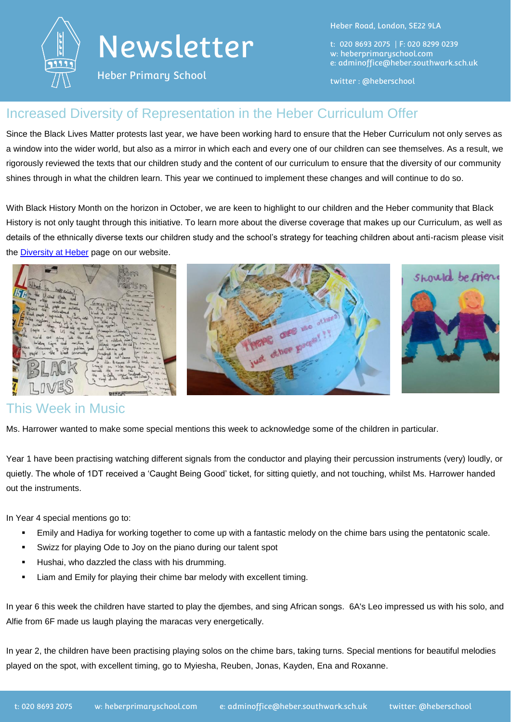

Heber Primary School

Heber Road, London, SE22 9LA

t: 020 8693 2075 | F: 020 8299 0239 w: heberprimaryschool.com e: [adminoffice@heber.southwark.sch.uk](mailto:adminoffice@heber.southwark.sch.uk)

twitter : @heberschool

## Increased Diversity of Representation in the Heber Curriculum Offer

Since the Black Lives Matter protests last year, we have been working hard to ensure that the Heber Curriculum not only serves as a window into the wider world, but also as a mirror in which each and every one of our children can see themselves. As a result, we rigorously reviewed the texts that our children study and the content of our curriculum to ensure that the diversity of our community shines through in what the children learn. This year we continued to implement these changes and will continue to do so.

With Black History Month on the horizon in October, we are keen to highlight to our children and the Heber community that Black History is not only taught through this initiative. To learn more about the diverse coverage that makes up our Curriculum, as well as details of the ethnically diverse texts our children study and the school's strategy for teaching children about anti-racism please visit the [Diversity at Heber](https://www.heberprimaryschool.com/students/black-lives-matter/) page on our website.



## This Week in Music

Ms. Harrower wanted to make some special mentions this week to acknowledge some of the children in particular.

Year 1 have been practising watching different signals from the conductor and playing their percussion instruments (very) loudly, or quietly. The whole of 1DT received a 'Caught Being Good' ticket, for sitting quietly, and not touching, whilst Ms. Harrower handed out the instruments.

In Year 4 special mentions go to:

- Emily and Hadiya for working together to come up with a fantastic melody on the chime bars using the pentatonic scale.
- Swizz for playing Ode to Joy on the piano during our talent spot
- **Hushai, who dazzled the class with his drumming.**
- **EXECT** Liam and Emily for playing their chime bar melody with excellent timing.

In year 6 this week the children have started to play the djembes, and sing African songs. 6A's Leo impressed us with his solo, and Alfie from 6F made us laugh playing the maracas very energetically.

In year 2, the children have been practising playing solos on the chime bars, taking turns. Special mentions for beautiful melodies played on the spot, with excellent timing, go to Myiesha, Reuben, Jonas, Kayden, Ena and Roxanne.